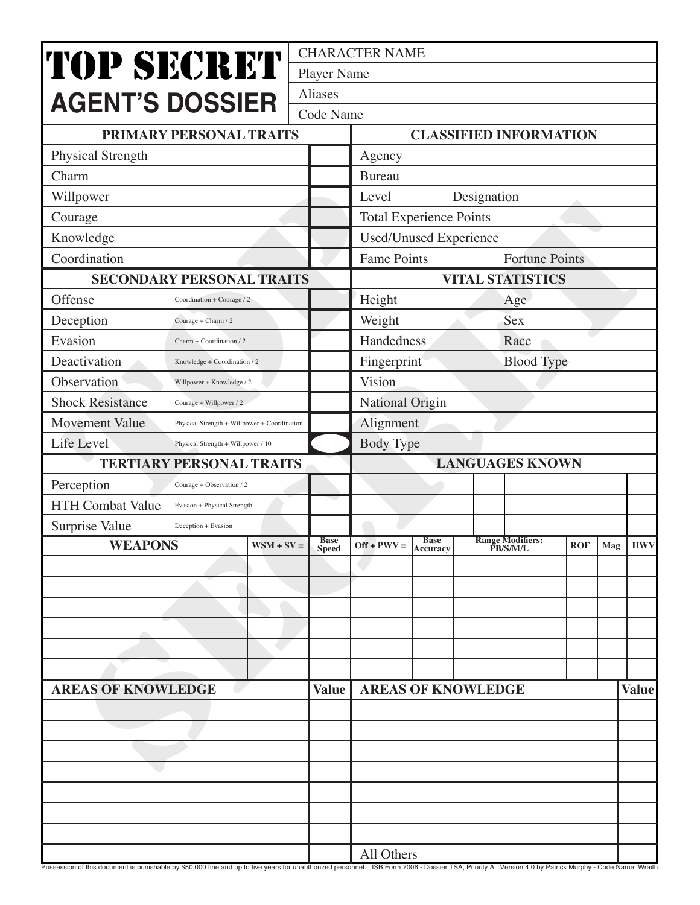|                                                                                                                                                                                                         |              |                                             | <b>CHARACTER NAME</b>            |                         |                                     |            |     |              |
|---------------------------------------------------------------------------------------------------------------------------------------------------------------------------------------------------------|--------------|---------------------------------------------|----------------------------------|-------------------------|-------------------------------------|------------|-----|--------------|
| <b>TOP SECRET</b>                                                                                                                                                                                       |              | <b>Player Name</b>                          |                                  |                         |                                     |            |     |              |
| <b>AGENT'S DOSSIER</b>                                                                                                                                                                                  |              | Aliases                                     |                                  |                         |                                     |            |     |              |
|                                                                                                                                                                                                         |              | Code Name                                   |                                  |                         |                                     |            |     |              |
| PRIMARY PERSONAL TRAITS                                                                                                                                                                                 |              | <b>CLASSIFIED INFORMATION</b>               |                                  |                         |                                     |            |     |              |
| Physical Strength                                                                                                                                                                                       |              |                                             | Agency                           |                         |                                     |            |     |              |
| Charm                                                                                                                                                                                                   |              |                                             | <b>Bureau</b>                    |                         |                                     |            |     |              |
| Willpower                                                                                                                                                                                               |              |                                             | Level<br>Designation             |                         |                                     |            |     |              |
| Courage                                                                                                                                                                                                 |              | <b>Total Experience Points</b>              |                                  |                         |                                     |            |     |              |
| Knowledge                                                                                                                                                                                               |              | Used/Unused Experience                      |                                  |                         |                                     |            |     |              |
| Coordination                                                                                                                                                                                            |              | <b>Fame Points</b><br><b>Fortune Points</b> |                                  |                         |                                     |            |     |              |
| <b>SECONDARY PERSONAL TRAITS</b>                                                                                                                                                                        |              | <b>VITAL STATISTICS</b>                     |                                  |                         |                                     |            |     |              |
| Offense<br>Coordination + Courage / 2                                                                                                                                                                   |              |                                             | Height<br>Age                    |                         |                                     |            |     |              |
| Deception<br>Courage + Charm / 2                                                                                                                                                                        |              |                                             | Sex<br>Weight                    |                         |                                     |            |     |              |
| Evasion<br>Charm + Coordination / 2                                                                                                                                                                     |              |                                             | Handedness<br>Race               |                         |                                     |            |     |              |
| Deactivation<br>Knowledge + Coordination / 2                                                                                                                                                            |              |                                             | <b>Blood Type</b><br>Fingerprint |                         |                                     |            |     |              |
| Observation<br>Willpower + Knowledge / 2                                                                                                                                                                |              |                                             | Vision                           |                         |                                     |            |     |              |
| <b>Shock Resistance</b><br>Courage + Willpower / 2                                                                                                                                                      |              |                                             | National Origin                  |                         |                                     |            |     |              |
| <b>Movement Value</b><br>Physical Strength + Willpower + Coordination                                                                                                                                   |              |                                             | Alignment                        |                         |                                     |            |     |              |
| Life Level<br>Physical Strength + Willpower / 10                                                                                                                                                        |              |                                             | <b>Body Type</b>                 |                         |                                     |            |     |              |
| <b>TERTIARY PERSONAL TRAITS</b>                                                                                                                                                                         |              |                                             | <b>LANGUAGES KNOWN</b>           |                         |                                     |            |     |              |
| Perception<br>Courage + Observation / 2                                                                                                                                                                 |              |                                             |                                  |                         |                                     |            |     |              |
| <b>HTH Combat Value</b><br>Evasion + Physical Strength                                                                                                                                                  |              |                                             |                                  |                         |                                     |            |     |              |
| Surprise Value<br>Deception + Evasion                                                                                                                                                                   |              |                                             |                                  |                         |                                     |            |     |              |
| <b>WEAPONS</b>                                                                                                                                                                                          | $WSM + SV =$ | <b>Base</b><br><b>Speed</b>                 | $Off + PWV =$                    | <b>Base</b><br>Accuracy | <b>Range Modifiers:</b><br>PB/S/M/L | <b>ROF</b> | Mag | <b>HWV</b>   |
|                                                                                                                                                                                                         |              |                                             |                                  |                         |                                     |            |     |              |
|                                                                                                                                                                                                         |              |                                             |                                  |                         |                                     |            |     |              |
|                                                                                                                                                                                                         |              |                                             |                                  |                         |                                     |            |     |              |
|                                                                                                                                                                                                         |              |                                             |                                  |                         |                                     |            |     |              |
|                                                                                                                                                                                                         |              |                                             |                                  |                         |                                     |            |     |              |
|                                                                                                                                                                                                         |              |                                             |                                  |                         |                                     |            |     |              |
| <b>AREAS OF KNOWLEDGE</b>                                                                                                                                                                               |              |                                             |                                  |                         | <b>AREAS OF KNOWLEDGE</b>           |            |     | <b>Value</b> |
|                                                                                                                                                                                                         |              |                                             |                                  |                         |                                     |            |     |              |
|                                                                                                                                                                                                         |              |                                             |                                  |                         |                                     |            |     |              |
|                                                                                                                                                                                                         |              |                                             |                                  |                         |                                     |            |     |              |
|                                                                                                                                                                                                         |              |                                             |                                  |                         |                                     |            |     |              |
|                                                                                                                                                                                                         |              |                                             |                                  |                         |                                     |            |     |              |
|                                                                                                                                                                                                         |              |                                             |                                  |                         |                                     |            |     |              |
|                                                                                                                                                                                                         |              |                                             |                                  |                         |                                     |            |     |              |
|                                                                                                                                                                                                         |              | All Others                                  |                                  |                         |                                     |            |     |              |
| Possession of this document is punishable by \$50,000 fine and up to five years for unauthorized personnel. ISB Form 7006 - Dossier TSA, Priority A. Version 4.0 by Patrick Murphy - Code Name: Wraith. |              |                                             |                                  |                         |                                     |            |     |              |